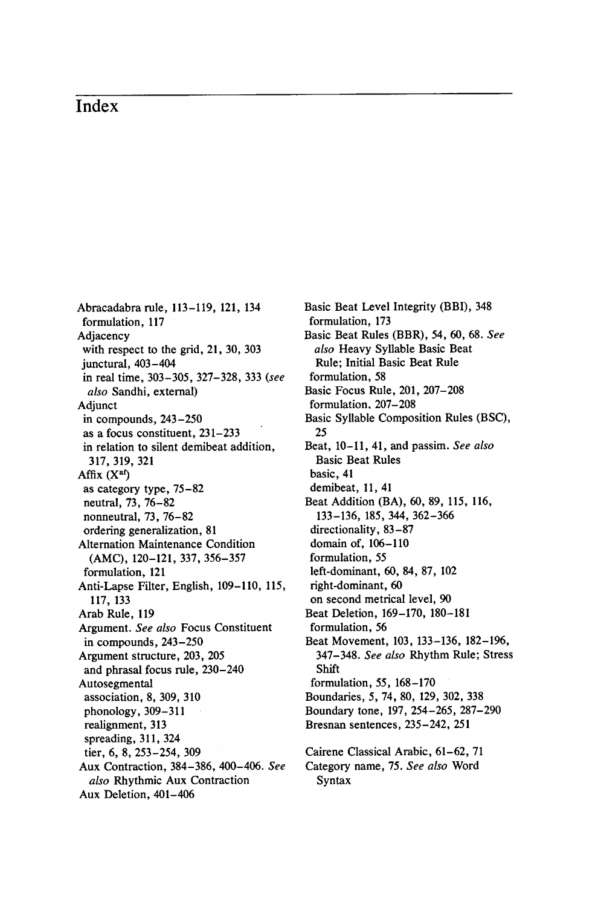## Index

Abracadabra rule, 113-119, 121, 134 formulation, 117 Adjacency with respect to the grid, 21, 30, 303 junctural,  $403 - 404$ in real time, 303-305, 327-328, 333 (see also Sandhi, external) Adjunct in compounds,  $243 - 250$ as a focus constituent, 231-233 in relation to silent demibeat addition, 317 , 319 , 321 Affix  $(X<sup>af</sup>)$ as category type,  $75 - 82$ neutral, 73, 76-82 nonneutral, 73, 76-82 ordering generalization, 81 Alternation Maintenance Condition (AMC), 120-121, 337, 356-357 formulation, 121 Anti-Lapse Filter, English, 109–110, 115, 117 , 133 Arab Rule, 119 Argument. See also Focus Constituent in compounds, 243-250 Argument structure, 203, 205 and phrasal focus rule, 230-240 Autosegmental association, 8, 309, 310 phonology, 309-311 realignment, 313 spreading, 311, 324 tier, 6, 8, 253-254, 309 Aux Contraction, 384-386, 400-406. See also Rhythmic Aux Contraction Aux Deletion, 401-406

Basic Beat Level Integrity (BBI), 348 formulation, 173 Basic Beat Rules (BBR), 54, 60, 68. See also Heavy Syllable Basic Beat Rule: Initial Basic Beat Rule formulation, 58 Basic Focus Rule, 201, 207-208 formulation, 207-208 Basic Syllable Composition Rules (BSC), 25 Beat, 10-11, 41, and passim. See also Basic Beat Rules basic, 41 demibeat, 11, 41 Beat Addition (BA), 60, 89, 115, 116, 133 - 136 , 185 , 344 , 362 - 366 directionality, 83-87 domain of, 106-110 formulation, 55 left-dominant, 60, 84, 87, 102 right-dominant, 60 on second metrical level, 90 Beat Deletion, 169-170, 180-181 formulation, 56 Beat Movement, 103, 133-136, 182-196, 347-348. See also Rhythm Rule; Stress Shift formulation, 55, 168-170 Boundaries, 5, 74, 80, 129, 302, 338 Boundary tone, 197, 254-265, 287-290 Bresnan sentences, 235–242, 251 Cairene Classical Arabic, 61-62, 71 Category name, 75. See also Word Syntax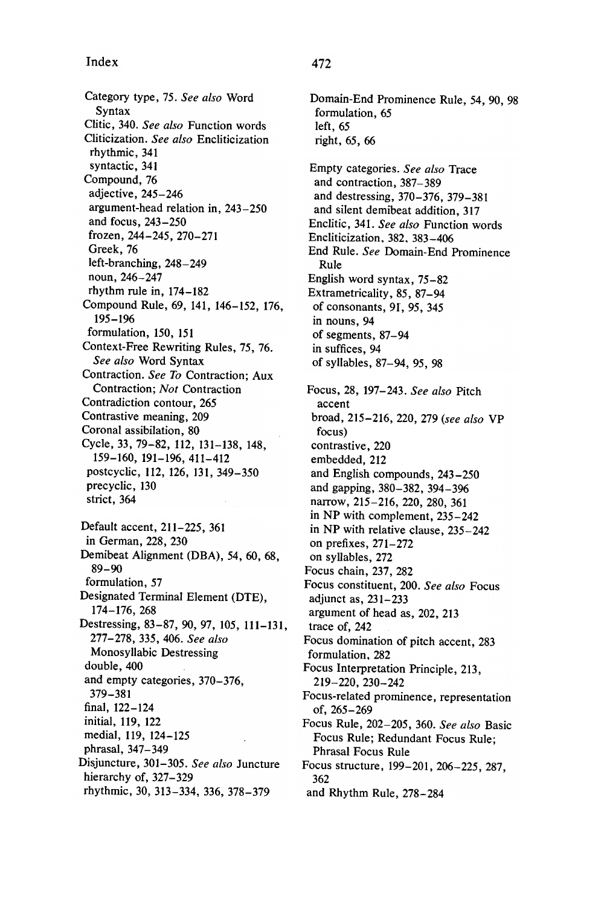## Index 472

Category type, 75. See also Word Syntax Clitic, 340. See also Function words Cliticization. See also Encliticization rhythmic, 341 syntactic, 341 Compound, 76 adjective , 245- 246 argument-head relation in, 243-250 and focus, 243-250 frozen , 244 - 245 , 270 - 271 Greek, 76 left-branching, 248-249 noun, 246-247 rhythm rule in,  $174 - 182$ Compound Rule, 69, 141, 146-152, 176, 195 - 196 formulation, 150, 151 Context-Free Rewriting Rules, 75, 76. See also Word Syntax Contraction. See To Contraction; Aux Contraction; Not Contraction Contradiction contour, 265 Contrastive meaning, 209 Coronal assibilation, 80 Cycle, 33, 79-82, 112, 131-138, 148, 159 - 160 , 191 - 196 , 411 - 412 postcyclic, 112, 126, 131, 349-350 precyclic, 130 strict, 364 Default accent, 211-225, 361 in German, 228, 230 Demibeat Alignment (DBA), 54, 60, 68,  $89 - 90$ formulation, 57 Designated Terminal Element (DTE), 174 - 176 , 268 Destressing, 83-87, 90, 97, 105, 111-131, 277 - 278 , 335 , 406 . See also Monosyllabic Destressing double, 400 and empty categories, 370-376, 379 - 381 final, 122-124 initial, 119, 122 medial, 119, 124-125 phrasal, 347-349 Disjuncture, 301-305. See also Juncture hierarchy of, 327-329 rhythmic , 30, 313- 334, 336, 378- 379

## Domain-End Prominence Rule, 54, 90, 98 formulation, 65 left, 65 right, 65, 66 Empty categories. See also Trace and contraction, 387-389 and destressing, 370-376, 379-381 and silent demibeat addition, 317 Enclitic, 341. See also Function words Encliticization, 382, 383-406 End Rule. See Domain-End Prominence Rule English word syntax, 75-82 Extrametricality, 85, 87-94 of consonants, 91, 95, 345 in nouns, 94 of segments, 87-94 in suffices, 94 of syllables, 87-94, 95, 98 Focus, 28, 197-243. See also Pitch accent broad, 215-216, 220, 279 (see also VP focus) contrastive, 220 embedded, 212 and English compounds, 243-250 and gapping, 380-382, 394-396 narrow, 215-216, 220, 280, 361 in NP with complement, 235-242 in NP with relative clause, 235-242 on prefixes,  $271-272$ on syllables, 272 Focus chain, 237, 282 Focus constituent, 200. See also Focus adjunct as, 231- 233 argument of head as, 202, 213 trace of, 242 Focus domination of pitch accent, 283 formulation, 282 Focus Interpretation Principle, 213, 219 - 220 , 230 - 242 Focus-related prominence, representation of, 265-269 Focus Rule, 202-205, 360. See also Basic Focus Rule; Redundant Focus Rule; Phrasal Focus Rule Focus structure, 199-201, 206-225, 287, 362 and Rhythm Rule, 278-284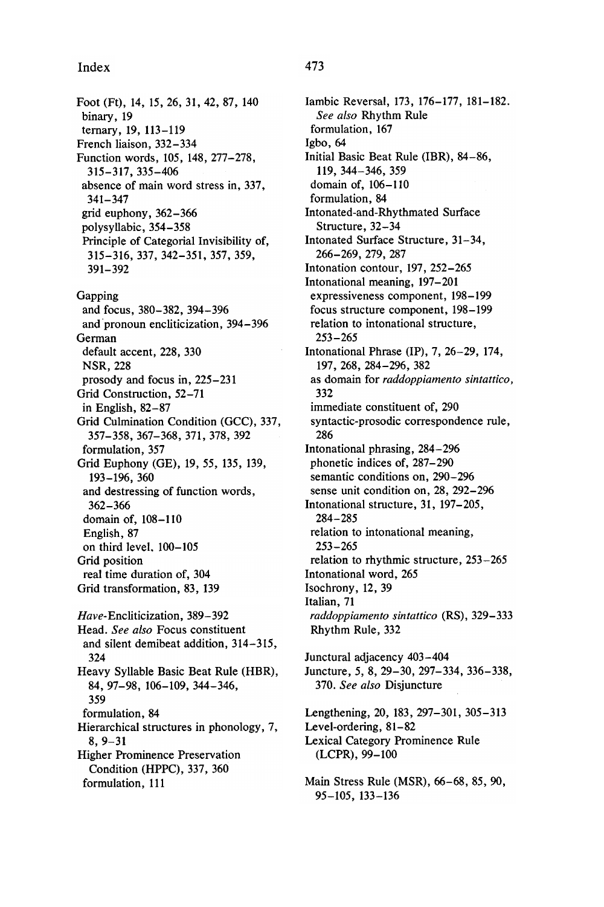## Index 473

Foot (Ft), 14, 15, 26, 31, 42, 87, 140 binary, 19 ternary, 19, 113-119 French liaison, 332-334 Function words, 105, 148, 277-278, 315 - 317 , 335 - 406 absence of main word stress in, 337,  $341 - 347$ grid euphony, 362-366 polysyllabic , 354- 358 Principle of Categorial Invisibility of, 315 - 316 , 337 , 342 - 351 , 357 , 359 , 391 - 392 Gapping and focus, 380-382, 394-396 and pronoun encliticization, 394-396 German default accent, 228, 330 NSR, 228 prosody and focus in, 225-231 Grid Construction, 52-71 in English,  $82-87$ Grid Culmination Condition (GCC), 337, 357 - 358 , 367 - 368 , 371 , 378 , 392 formulation, 357 Grid Euphony (GE), 19, 55, 135, 139, 193 - 196 , 360 and destressing of function words , 362 - 366 domain of, 108-110 English, 87 on third level, 100-105 Grid position real time duration of, 304 Grid transformation, 83, 139 Have-Encliticization, 389-392 Head. See also Focus constituent

and silent demibeat addition, 314-315, 324 Heavy Syllable Basic Beat Rule (HBR), 84, 97-98, 106-109, 344-346, 359 formulation, 84 Hierarchical structures in phonology, 7, 8, 9–31 Higher Prominence Preservation Condition (HPPC), 337, 360 formulation, 111

Iambic Reversal, 173, 176-177, 181-182. See also Rhythm Rule formulation, 167 Igbo, 64 Initial Basic Beat Rule (IBR), 84-86, 119, 344-346, 359 domain of, 106-110 formulation, 84 Intonated -and -Rhythmated Surface Structure, 32-34 Intonated Surface Structure, 31-34, 266 - 269 , 279 , 287 Intonation contour, 197, 252-265 Intonational meaning, 197-201 expressiveness component, 198-199 focus structure component, 198-199 relation to intonational structure ,  $253 - 265$ Intonational Phrase (IP),  $7, 26-29, 174,$ 197 , 268 , 284 - 296 , 382 as domain for raddoppiamento sintattico, 332 immediate constituent of, 290 syntactic-prosodic correspondence rule, 286 Intonational phrasing, 284-296 phonetic indices of, 287–290 semantic conditions on, 290-296 sense unit condition on, 28, 292-296 Intonational structure, 31, 197-205, 284 - 285 relation to intonational meaning,  $253 - 265$ relation to rhythmic structure, 253-265 Intonational word, 265 Isochrony, 12, 39 Italian, 71 raddoppiamento sintattico (RS), 329-333 Rhythm Rule, 332 Junctural adjacency 403-404 Juncture, 5, 8, 29–30, 297–334, 336–338, 370. See also Disjuncture Lengthening, 20, 183, 297-301, 305-313 Level-ordering, 81-82 Lexical Category Prominence Rule (LCPR), 99-100 Main Stress Rule (MSR), 66-68, 85, 90,

95 - 105 , 133 - 136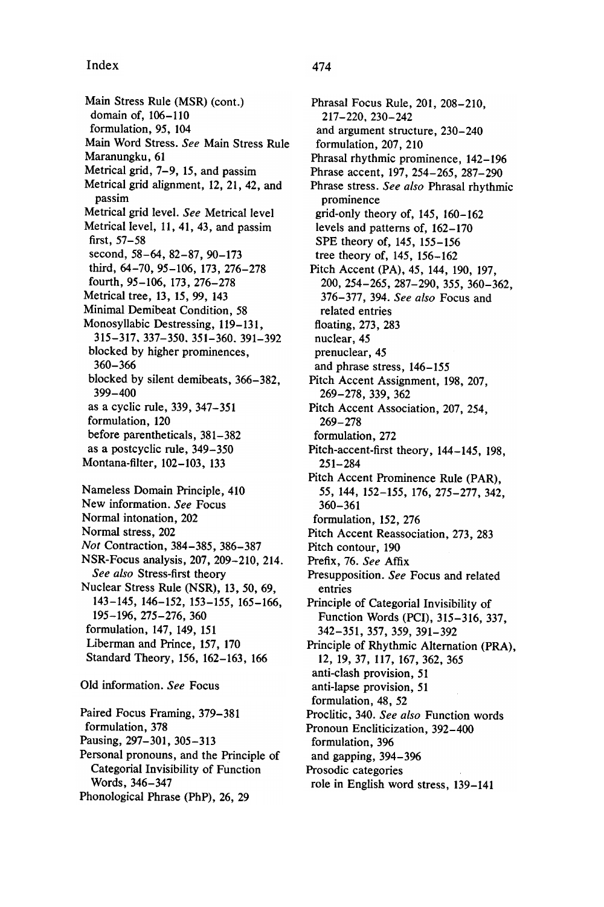Main Stress Rule (MSR) (cont.) domain of, 106-110 formulation, 95, 104 Main Word Stress. See Main Stress Rule Maranungku, 61 Metrical grid, 7-9, 15, and passim Metrical grid alignment, 12, 21, 42, and passim Metrical grid level. See Metrical level Metrical level, 11, 41, 43, and passim first,  $57 - 58$ second, 58-64, 82-87, 90-173 third, 64-70, 95-106, 173, 276-278 fourth, 95-106, 173, 276-278 Metrical tree, 13, 15, 99, 143 Minimal Demibeat Condition, 58 Monosyllabic Destressing, 119-131, 315 - 317 . 337 - 350 . 351 - 360 . 391 - 392 blocked by higher prominences , 360 - 366 blocked by silent demibeats, 366-382. 399 - 400 as a cyclic rule, 339, 347-351 formulation, 120 before parentheticals, 381-382 as a postcyclic rule, 349-350 Montana-filter, 102-103, 133 Nameless Domain Principle, 410 New information. See Focus Normal intonation, 202 Normal stress, 202 Not Contraction, 384-385, 386-387 NSR-Focus analysis, 207, 209-210, 214. See also Stress-first theory Nuclear Stress Rule (NSR), 13, 50, 69, 143 - 145, 146 - 152, 153 - 155, 165 - 166, 195 - 196 , 275 - 276 , 360 formulation, 147, 149, 151 Liberman and Prince, 157, 170 Standard Theory, 156, 162-163, 166 Old information. See Focus Paired Focus Framing, 379-381 formulation, 378 Pausing, 297-301, 305-313 Personal pronouns, and the Principle of Categorial Invisibility of Function Words, 346- 347

Phonological Phrase (PhP), 26, 29

Phrasal Focus Rule, 201, 208-210. 217 - 220 . 230 - 242 and argument structure, 230-240 formulation, 207, 210 Phrasal rhythmic prominence, 142-196 Phrase accent, 197, 254-265, 287-290 Phrase stress. See also Phrasal rhythmic prominence grid-only theory of,  $145$ ,  $160 - 162$ levels and patterns of, 162-170 SPE theory of, 145, 155–156 tree theory of, 145, 156-162 Pitch Accent (PA), 45, 144, 190, 197, 200 , 254 - 265 , 287 - 290 , 355 , 360 - 362 , 376-377, 394. See also Focus and related entries floating, 273, 283 nuclear, 45 prenuclear, 45 and phrase stress, 146-155 Pitch Accent Assignment, 198, 207, 269 - 278 , 339 , 362 Pitch Accent Association, 207, 254, 269 - 278 formulation, 272 Pitch-accent-first theory, 144-145, 198,  $251 - 284$ Pitch Accent Prominence Rule (PAR), 55, 144, 152-155, 176, 275-277, 342, 360 - 361 formulation, 152, 276 Pitch Accent Reassociation, 273, 283 Pitch contour, 190 Prefix, 76. See Affix Presupposition. See Focus and related entries Principle of Categorial Invisibility of Function Words (PCI), 315-316, 337, 342 - 351 , 357 , 359 , 391 - 392 Principle of Rhythmic Alternation (PRA), 12, 19, 37, 117, 167, 362, 365 anti-clash provision, 51 anti-lapse provision, 51 formulation, 48, 52 Proclitic, 340. See also Function words Pronoun Encliticization, 392-400 formulation, 396 and gapping, 394-396 Prosodic categories role in English word stress, 139-141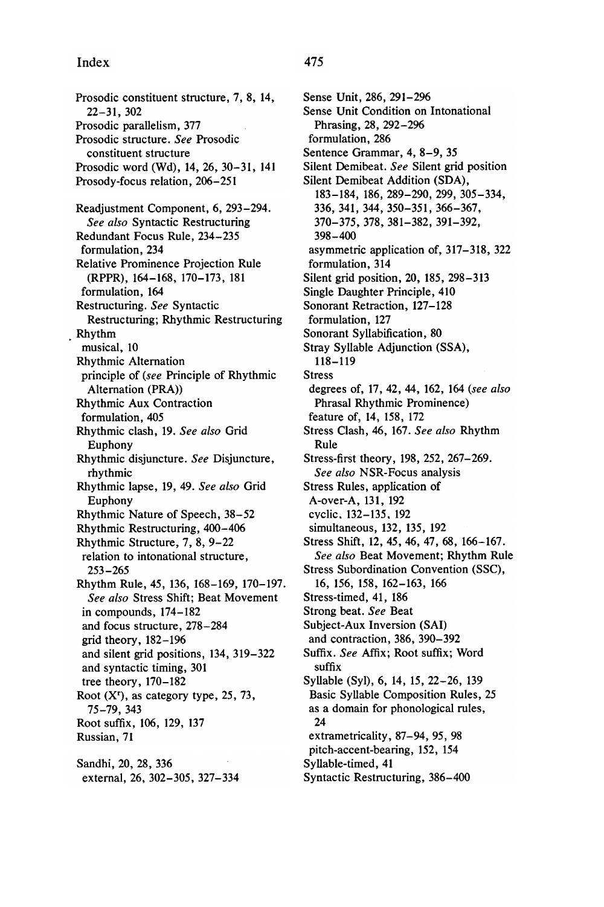Prosodic constituent structure, 7, 8, 14,  $22 - 31, 302$ Prosodic parallelism, 377 Prosodic structure. See Prosodic constituent structure Prosodic word (Wd), 14, 26, 30-31, 141 Prosody-focus relation, 206-251 Readjustment Component, 6, 293-294. See also Syntactic Restructuring Redundant Focus Rule, 234-235 formulation, 234 Relative Prominence Projection Rule (RPPR), 164-168, 170-173, 181 formulation, 164 Restructuring. See Syntactic Restructuring; Rhythmic Restructuring . Rhythm musical, 10 Rhythmic Alternation principle of (see Principle of Rhythmic Alternation (PRA Rhythmic Aux Contraction formulation, 405 Rhythmic clash, 19. See also Grid Euphony Rhythmic disjuncture. See Disjuncture, rhythmic Rhythmic lapse, 19, 49. See also Grid Euphony Rhythmic Nature of Speech, 38-52 Rhythmic Restructuring, 400-406 Rhythmic Structure, 7, 8, 9-22 relation to intonational structure ,  $253 - 265$ Rhythm Rule, 45, 136, 168-169, 170-197. See also Stress Shift; Beat Movement in compounds, 174-182 and focus structure, 278-284 grid theory,  $182 - 196$ and silent grid positions, 134, 319-322 and syntactic timing, 301 tree theory, 170–182 Root  $(X<sup>r</sup>)$ , as category type, 25, 73, 75 - 79 , 343 Root suffix, 106, 129, 137 Russian, 71 Sandhi, 20, 28, 336

external, 26, 302-305, 327-334

formulation, 286 Sentence Grammar, 4, 8-9, 35 Silent Demibeat. See Silent grid position Silent Demibeat Addition (SDA), 183 - 184 , 186 , 289 - 290 , 299 , 305 - 334 , 336 , 341 , 344 , 350 - 351 , 366 - 367 , 370 - 375 , 378 , 381 - 382 , 391 - 392 , 398 - 400 asymmetric application of, 317–318, 322 formulation, 314 Silent grid position, 20, 185, 298-313 Single Daughter Principle, 410 Sonorant Retraction, 127-128 formulation, 127 Sonorant Syllabification, 80 Stray Syllable Adjunction (SSA), 118 - 119 Stress degrees of, 17, 42, 44, 162, 164 (see also Phrasal Rhythmic Prominence ) feature of, 14, 158, 172 Stress Clash, 46, 167. See also Rhythm Rule Stress-first theory, 198, 252, 267-269. See also NSR-Focus analysis Stress Rules, application of A-over-A, 131, 192 cyclic . 132 - 135 . 192 simultaneous, 132, 135, 192 Stress Shift, 12, 45, 46, 47, 68, 166-167. See also Beat Movement; Rhythm Rule Stress Subordination Convention (SSC) , 16, 156, 158, 162-163, 166 Stress-timed, 41, 186 Strong beat. See Beat Subject-Aux Inversion (SAI) and contraction, 386, 390-392 Suffix. See Affix; Root suffix; Word suffix Syllable (Syl), 6, 14, 15, 22-26, 139 Basic Syllable Composition Rules, 25 as a domain for phonological rules, 24 extrametricality, 87-94, 95, 98 pitch-accent-bearing, 152, 154 Syllable-timed, 41